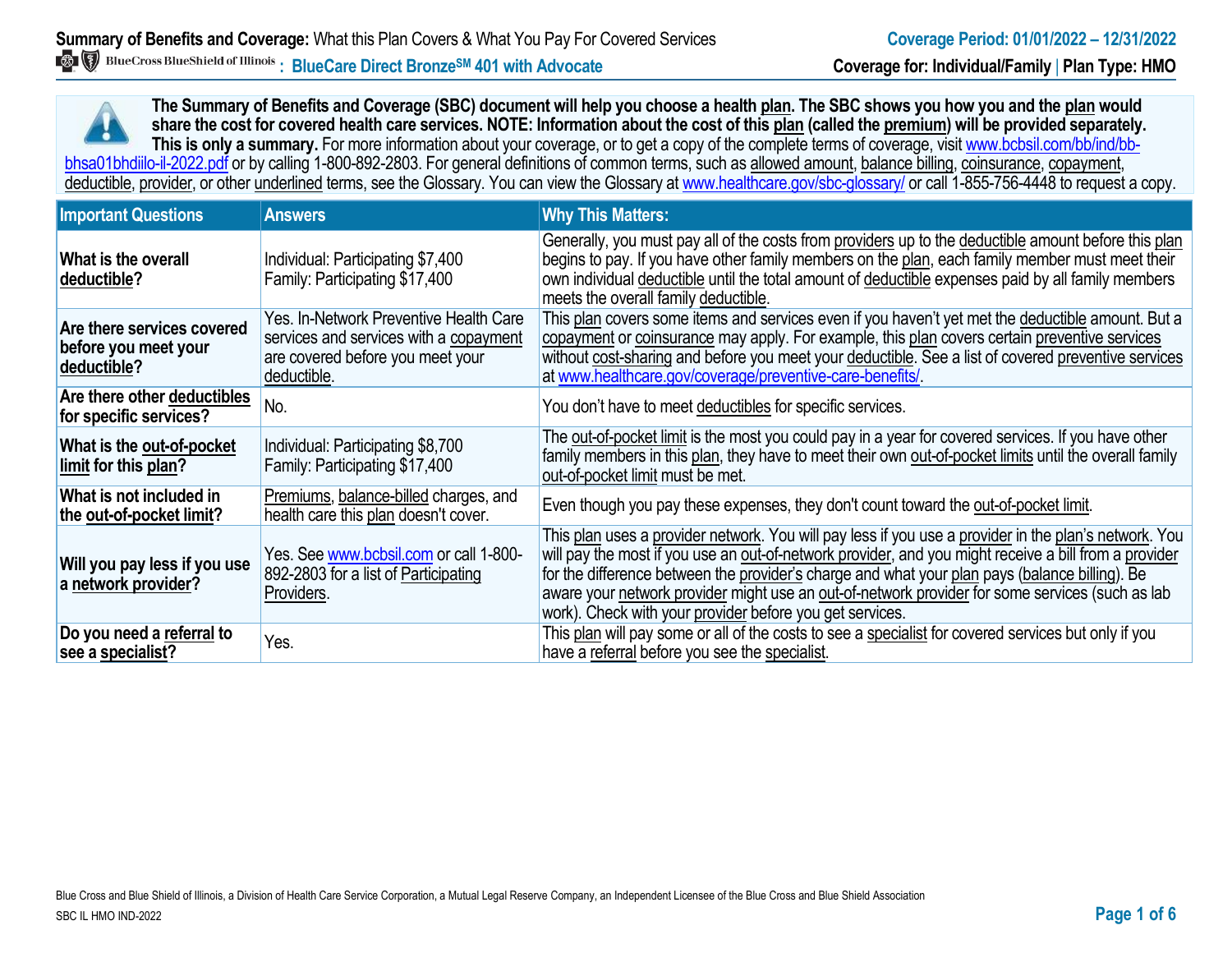**The Summary of Benefits and Coverage (SBC) document will help you choose a health plan. The SBC shows you how you and the plan would share the cost for covered health care services. NOTE: Information about the cost of this plan (called the premium) will be provided separately.** This is only a summary. For more information about your coverage, or to get a copy of the complete terms of coverage, visit www.bcbsil.com/bb/ind/bbbhsa01bhdiilo-il-2022.pdf or by calling 1-800-892-2803. For general definitions of common terms, such as allowed amount, balance billing, coinsurance, copayment, deductible, provider, or other underlined terms, see the Glossary. You can view the Glossary a[t www.healthcare.gov/sbc-glossary/](http://www.healthcare.gov/sbc-glossary/) or call 1-855-756-4448 to request a copy.

| <b>Important Questions</b>                                        | <b>Answers</b>                                                                                                                      | <b>Why This Matters:</b>                                                                                                                                                                                                                                                                                                                                                                                                                                                        |
|-------------------------------------------------------------------|-------------------------------------------------------------------------------------------------------------------------------------|---------------------------------------------------------------------------------------------------------------------------------------------------------------------------------------------------------------------------------------------------------------------------------------------------------------------------------------------------------------------------------------------------------------------------------------------------------------------------------|
| What is the overall<br>deductible?                                | Individual: Participating \$7,400<br>Family: Participating \$17,400                                                                 | Generally, you must pay all of the costs from providers up to the deductible amount before this plan<br>begins to pay. If you have other family members on the plan, each family member must meet their<br>own individual deductible until the total amount of deductible expenses paid by all family members<br>meets the overall family deductible.                                                                                                                           |
| Are there services covered<br>before you meet your<br>deductible? | Yes. In-Network Preventive Health Care<br>services and services with a copayment<br>are covered before you meet your<br>deductible. | This plan covers some items and services even if you haven't yet met the deductible amount. But a<br>copayment or coinsurance may apply. For example, this plan covers certain preventive services<br>without cost-sharing and before you meet your deductible. See a list of covered preventive services<br>at www.healthcare.gov/coverage/preventive-care-benefits/                                                                                                           |
| Are there other deductibles<br>for specific services?             | No.                                                                                                                                 | You don't have to meet deductibles for specific services.                                                                                                                                                                                                                                                                                                                                                                                                                       |
| What is the out-of-pocket<br>limit for this plan?                 | Individual: Participating \$8,700<br>Family: Participating \$17,400                                                                 | The out-of-pocket limit is the most you could pay in a year for covered services. If you have other<br>family members in this plan, they have to meet their own out-of-pocket limits until the overall family<br>out-of-pocket limit must be met.                                                                                                                                                                                                                               |
| What is not included in<br>the out-of-pocket limit?               | Premiums, balance-billed charges, and<br>health care this plan doesn't cover.                                                       | Even though you pay these expenses, they don't count toward the out-of-pocket limit.                                                                                                                                                                                                                                                                                                                                                                                            |
| Will you pay less if you use<br>a network provider?               | Yes. See www.bcbsil.com or call 1-800-<br>892-2803 for a list of Participating<br>Providers.                                        | This plan uses a provider network. You will pay less if you use a provider in the plan's network. You<br>will pay the most if you use an out-of-network provider, and you might receive a bill from a provider<br>for the difference between the provider's charge and what your plan pays (balance billing). Be<br>aware your network provider might use an out-of-network provider for some services (such as lab<br>work). Check with your provider before you get services. |
| Do you need a referral to<br>see a specialist?                    | Yes.                                                                                                                                | This plan will pay some or all of the costs to see a specialist for covered services but only if you<br>have a referral before you see the specialist.                                                                                                                                                                                                                                                                                                                          |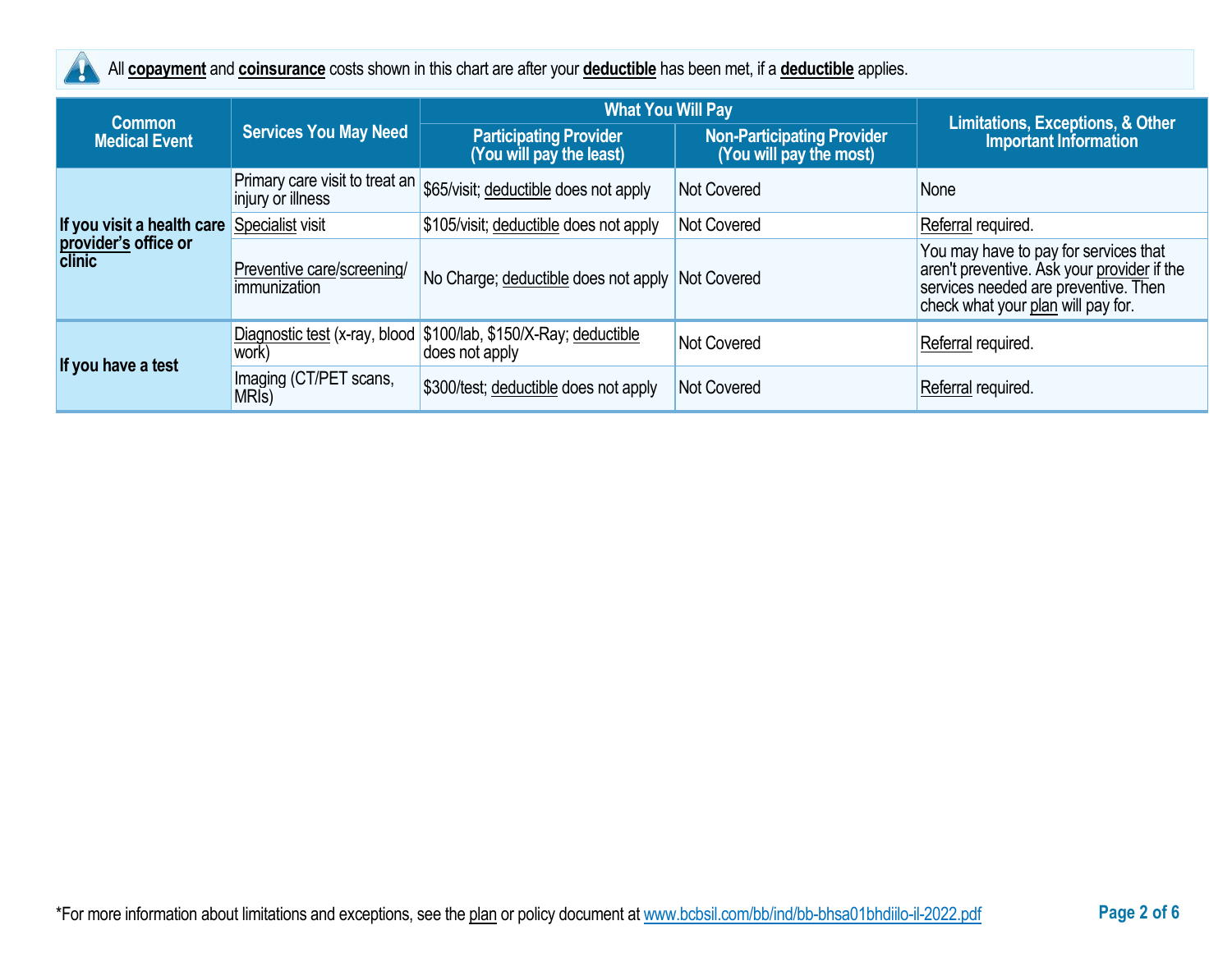

All **copayment** and **coinsurance** costs shown in this chart are after your **deductible** has been met, if a **deductible** applies.

| <b>Common</b>                         |                                                     | <b>What You Will Pay</b>                                                           |                                                              |                                                                                                                                                                    |  |
|---------------------------------------|-----------------------------------------------------|------------------------------------------------------------------------------------|--------------------------------------------------------------|--------------------------------------------------------------------------------------------------------------------------------------------------------------------|--|
| <b>Medical Event</b>                  | <b>Services You May Need</b>                        | <b>Participating Provider</b><br>(You will pay the least)                          | <b>Non-Participating Provider</b><br>(You will pay the most) | Limitations, Exceptions, & Other<br><b>Important Information</b>                                                                                                   |  |
|                                       | Primary care visit to treat an<br>injury or illness | \$65/visit; deductible does not apply                                              | <b>Not Covered</b>                                           | None                                                                                                                                                               |  |
| If you visit a health care            | Specialist visit                                    | \$105/visit; deductible does not apply                                             | <b>Not Covered</b>                                           | Referral required.                                                                                                                                                 |  |
| provider's office or<br><b>clinic</b> | Preventive care/screening/<br>immunization          | No Charge; deductible does not apply Not Covered                                   |                                                              | You may have to pay for services that<br>aren't preventive. Ask your provider if the<br>services needed are preventive. Then<br>check what your plan will pay for. |  |
| If you have a test                    | work)                                               | Diagnostic test (x-ray, blood \$100/lab, \$150/X-Ray; deductible<br>does not apply | <b>Not Covered</b>                                           | Referral required.                                                                                                                                                 |  |
|                                       | Imaging (CT/PET scans,<br>MRI <sub>s</sub> )        | \$300/test; deductible does not apply                                              | <b>Not Covered</b>                                           | Referral required.                                                                                                                                                 |  |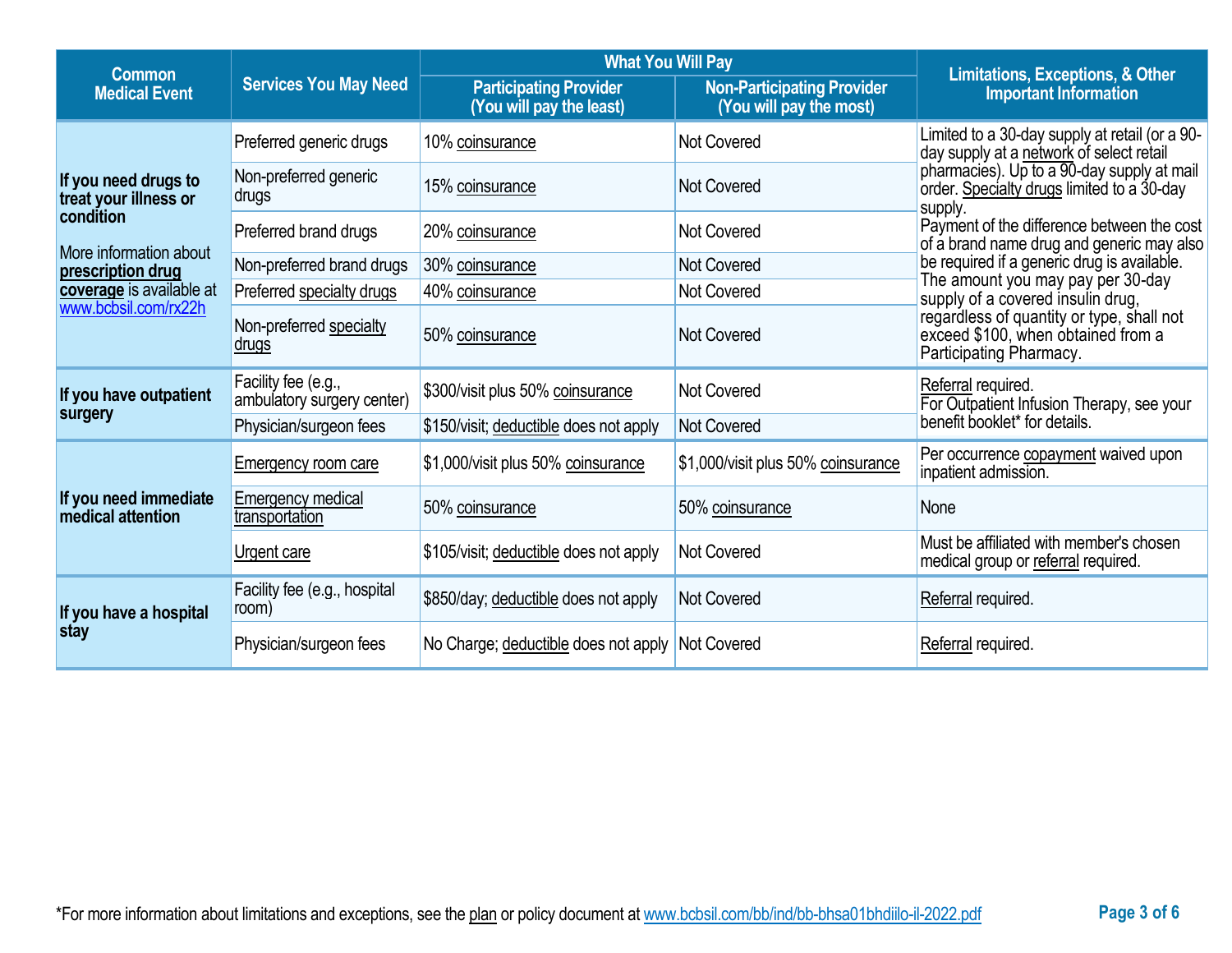| <b>Common</b>                                        |                                                   | <b>Limitations, Exceptions, &amp; Other</b>               |                                                              |                                                                                                            |
|------------------------------------------------------|---------------------------------------------------|-----------------------------------------------------------|--------------------------------------------------------------|------------------------------------------------------------------------------------------------------------|
| <b>Services You May Need</b><br><b>Medical Event</b> |                                                   | <b>Participating Provider</b><br>(You will pay the least) | <b>Non-Participating Provider</b><br>(You will pay the most) | <b>Important Information</b>                                                                               |
|                                                      | Preferred generic drugs                           | 10% coinsurance                                           | Not Covered                                                  | Limited to a 30-day supply at retail (or a 90-<br>day supply at a network of select retail                 |
| If you need drugs to<br>treat your illness or        | Non-preferred generic<br>drugs                    | 15% coinsurance                                           | <b>Not Covered</b>                                           | pharmacies). Up to a 90-day supply at mail<br>order. Specialty drugs limited to a 30-day<br>supply.        |
| condition                                            | Preferred brand drugs                             | 20% coinsurance                                           | <b>Not Covered</b>                                           | Payment of the difference between the cost<br>of a brand name drug and generic may also                    |
| More information about<br>prescription drug          | Non-preferred brand drugs                         | 30% coinsurance                                           | Not Covered                                                  | be required if a generic drug is available.                                                                |
| coverage is available at                             | Preferred specialty drugs                         | 40% coinsurance                                           | Not Covered                                                  | The amount you may pay per 30-day<br>supply of a covered insulin drug,                                     |
| www.bcbsil.com/rx22h                                 | Non-preferred specialty<br><u>drugs</u>           | 50% coinsurance                                           | Not Covered                                                  | regardless of quantity or type, shall not<br>exceed \$100, when obtained from a<br>Participating Pharmacy. |
| If you have outpatient                               | Facility fee (e.g.,<br>ambulatory surgery center) | \$300/visit plus 50% coinsurance                          | <b>Not Covered</b>                                           | Referral required.<br>For Outpatient Infusion Therapy, see your                                            |
| surgery                                              | Physician/surgeon fees                            | \$150/visit; deductible does not apply                    | Not Covered                                                  | benefit booklet* for details.                                                                              |
|                                                      | <b>Emergency room care</b>                        | \$1,000/visit plus 50% coinsurance                        | \$1,000/visit plus 50% coinsurance                           | Per occurrence copayment waived upon<br>inpatient admission.                                               |
| If you need immediate<br><b>medical attention</b>    | Emergency medical<br>transportation               | 50% coinsurance                                           | 50% coinsurance                                              | None                                                                                                       |
|                                                      | Urgent care                                       | \$105/visit; deductible does not apply                    | Not Covered                                                  | Must be affiliated with member's chosen<br>medical group or referral required.                             |
| If you have a hospital                               | Facility fee (e.g., hospital<br>room)             | \$850/day; deductible does not apply                      | <b>Not Covered</b>                                           | Referral required.                                                                                         |
| stay                                                 | Physician/surgeon fees                            | No Charge; deductible does not apply                      | Not Covered                                                  | Referral required.                                                                                         |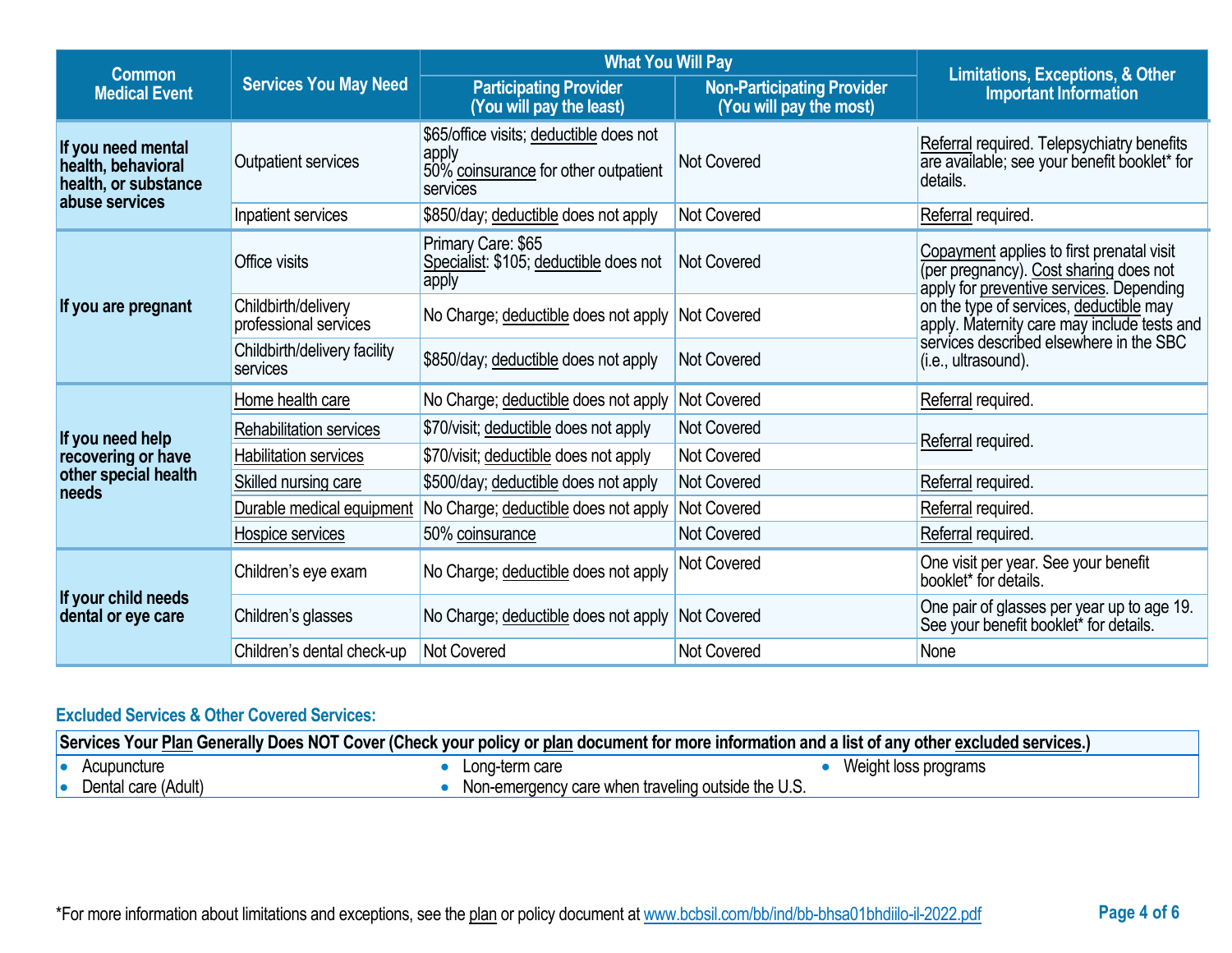| <b>Common</b>                                                                      |                                              | <b>What You Will Pay</b>                                                                             |                                                              |                                                                                                                                 |
|------------------------------------------------------------------------------------|----------------------------------------------|------------------------------------------------------------------------------------------------------|--------------------------------------------------------------|---------------------------------------------------------------------------------------------------------------------------------|
| <b>Medical Event</b>                                                               | <b>Services You May Need</b>                 | <b>Participating Provider</b><br>(You will pay the least)                                            | <b>Non-Participating Provider</b><br>(You will pay the most) | Limitations, Exceptions, & Other<br><b>Important Information</b>                                                                |
| If you need mental<br>health, behavioral<br>health, or substance<br>abuse services | Outpatient services                          | \$65/office visits; deductible does not<br>apply<br>50% coinsurance for other outpatient<br>services | <b>Not Covered</b>                                           | Referral required. Telepsychiatry benefits<br>are available; see your benefit booklet* for<br>details.                          |
|                                                                                    | Inpatient services                           | \$850/day; deductible does not apply                                                                 | <b>Not Covered</b>                                           | Referral required.                                                                                                              |
|                                                                                    | Office visits                                | Primary Care: \$65<br>Specialist: \$105; deductible does not<br>apply                                | Not Covered                                                  | Copayment applies to first prenatal visit<br>(per pregnancy). Cost sharing does not<br>apply for preventive services. Depending |
| If you are pregnant                                                                | Childbirth/delivery<br>professional services | No Charge; deductible does not apply                                                                 | <b>Not Covered</b>                                           | on the type of services, deductible may<br>apply. Maternity care may include tests and                                          |
|                                                                                    | Childbirth/delivery facility<br>services     | \$850/day; deductible does not apply                                                                 | <b>Not Covered</b>                                           | services described elsewhere in the SBC<br>(i.e., ultrasound).                                                                  |
|                                                                                    | Home health care                             | No Charge; deductible does not apply                                                                 | <b>Not Covered</b>                                           | Referral required.                                                                                                              |
| If you need help                                                                   | Rehabilitation services                      | \$70/visit; deductible does not apply                                                                | <b>Not Covered</b>                                           | Referral required.                                                                                                              |
| recovering or have                                                                 | Habilitation services                        | \$70/visit; deductible does not apply                                                                | <b>Not Covered</b>                                           |                                                                                                                                 |
| other special health<br>needs                                                      | Skilled nursing care                         | \$500/day; deductible does not apply                                                                 | <b>Not Covered</b>                                           | Referral required.                                                                                                              |
|                                                                                    | Durable medical equipment                    | No Charge; deductible does not apply                                                                 | Not Covered                                                  | Referral required.                                                                                                              |
|                                                                                    | Hospice services                             | 50% coinsurance                                                                                      | <b>Not Covered</b>                                           | Referral required.                                                                                                              |
|                                                                                    | Children's eye exam                          | No Charge; deductible does not apply                                                                 | <b>Not Covered</b>                                           | One visit per year. See your benefit<br>booklet* for details.                                                                   |
| If your child needs<br>dental or eye care                                          | Children's glasses                           | No Charge; deductible does not apply Not Covered                                                     |                                                              | One pair of glasses per year up to age 19.<br>See your benefit booklet* for details.                                            |
|                                                                                    | Children's dental check-up                   | Not Covered                                                                                          | <b>Not Covered</b>                                           | None                                                                                                                            |

# **Excluded Services & Other Covered Services:**

| Services Your Plan Generally Does NOT Cover (Check your policy or plan document for more information and a list of any other excluded services.) |                     |  |                                                    |                      |
|--------------------------------------------------------------------------------------------------------------------------------------------------|---------------------|--|----------------------------------------------------|----------------------|
| 10                                                                                                                                               | Acupuncture         |  | Long-term care                                     | Weight loss programs |
|                                                                                                                                                  | Dental care (Adult) |  | Non-emergency care when traveling outside the U.S. |                      |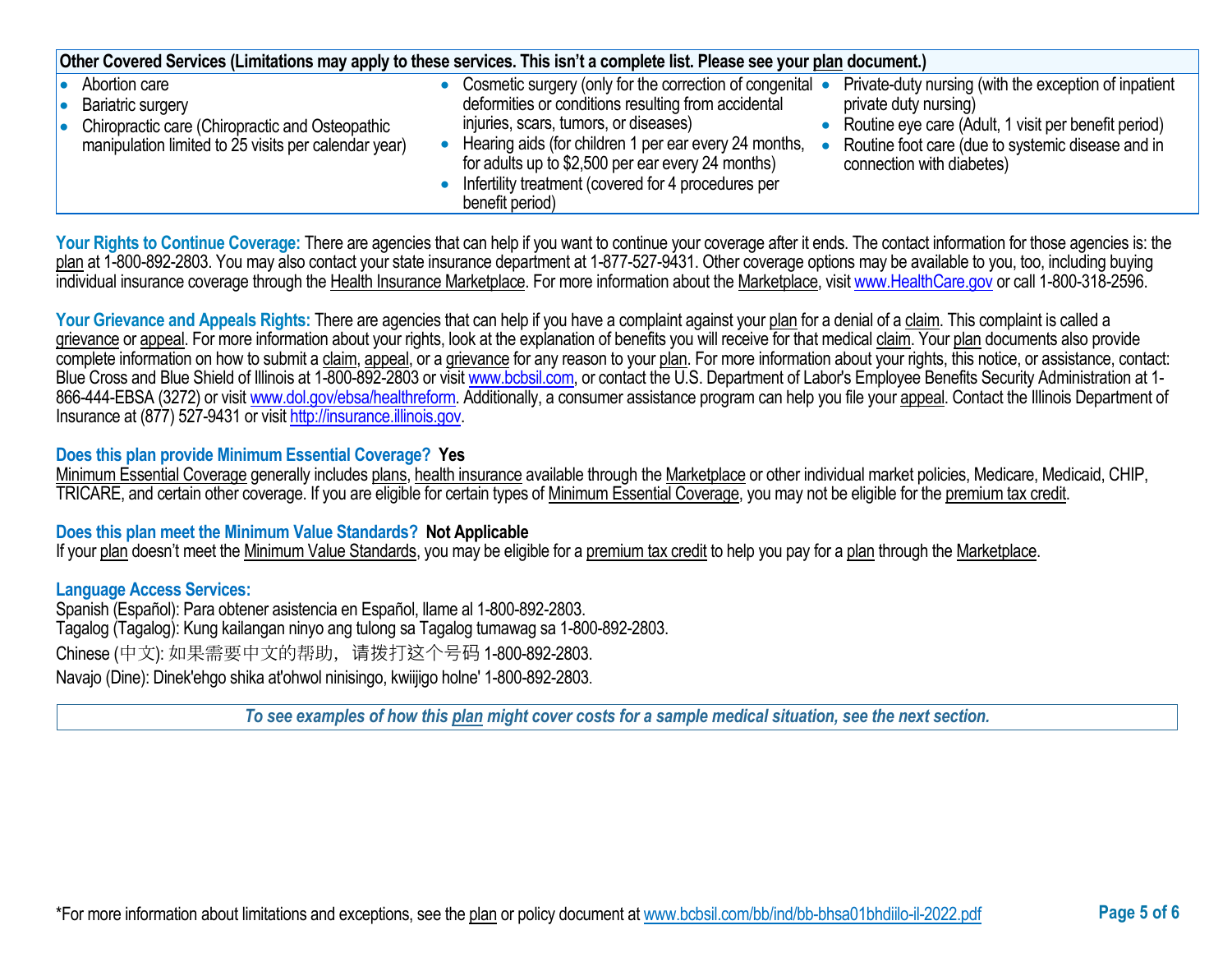| Other Covered Services (Limitations may apply to these services. This isn't a complete list. Please see your plan document.)                              |                                                                                                                                                                                                                                                                                                                                                                                                                                                                                                                                                                                   |  |  |  |
|-----------------------------------------------------------------------------------------------------------------------------------------------------------|-----------------------------------------------------------------------------------------------------------------------------------------------------------------------------------------------------------------------------------------------------------------------------------------------------------------------------------------------------------------------------------------------------------------------------------------------------------------------------------------------------------------------------------------------------------------------------------|--|--|--|
| Abortion care<br>Bariatric surgery<br>10<br>Chiropractic care (Chiropractic and Osteopathic<br>I۰<br>manipulation limited to 25 visits per calendar year) | Private-duty nursing (with the exception of inpatient<br>• Cosmetic surgery (only for the correction of congenital •<br>deformities or conditions resulting from accidental<br>private duty nursing)<br>injuries, scars, tumors, or diseases)<br>Routine eye care (Adult, 1 visit per benefit period)<br>Hearing aids (for children 1 per ear every 24 months,<br>Routine foot care (due to systemic disease and in<br>for adults up to \$2,500 per ear every 24 months)<br>connection with diabetes)<br>• Infertility treatment (covered for 4 procedures per<br>benefit period) |  |  |  |

Your Rights to Continue Coverage: There are agencies that can help if you want to continue your coverage after it ends. The contact information for those agencies is: the plan at 1-800-892-2803. You may also contact your state insurance department at 1-877-527-9431. Other coverage options may be available to you, too, including buying individual insurance coverage through the Health Insurance Marketplace. For more information about the Marketplace, visi[t www.HealthCare.gov](http://www.healthcare.gov/) or call 1-800-318-2596.

Your Grievance and Appeals Rights: There are agencies that can help if you have a complaint against your plan for a denial of a claim. This complaint is called a grievance or appeal. For more information about your rights, look at the explanation of benefits you will receive for that medical claim. Your plan documents also provide complete information on how to submit a claim, appeal, or a grievance for any reason to your plan. For more information about your rights, this notice, or assistance, contact: Blue Cross and Blue Shield of Illinois at 1-800-892-2803 or visit [www.bcbsil.com,](http://www.bcbsil.com/) or contact the U.S. Department of Labor's Employee Benefits Security Administration at 1866-444-EBSA (3272) or visit [www.dol.gov/ebsa/healthreform.](http://www.dol.gov/ebsa/healthreform) Additionally, a consumer assistance program can help you file your appeal. Contact the Illinois Department of Insurance at (877) 527-9431 or visi[t http://insurance.illinois.gov.](http://insurance.illinois.gov/)

### **Does this plan provide Minimum Essential Coverage? Yes**

Minimum Essential Coverage generally includes plans, health insurance available through the Marketplace or other individual market policies, Medicare, Medicaid, CHIP, TRICARE, and certain other coverage. If you are eligible for certain types of Minimum Essential Coverage, you may not be eligible for the premium tax credit.

### **Does this plan meet the Minimum Value Standards? Not Applicable**

If your plan doesn't meet the Minimum Value Standards, you may be eligible for a premium tax credit to help you pay for a plan through the Marketplace.

### **Language Access Services:**

Spanish (Español): Para obtener asistencia en Español, llame al 1-800-892-2803. Tagalog (Tagalog): Kung kailangan ninyo ang tulong sa Tagalog tumawag sa 1-800-892-2803. Chinese (中文): 如果需要中文的帮助,请拨打这个号码 1-800-892-2803. Navajo (Dine): Dinek'ehgo shika at'ohwol ninisingo, kwiijigo holne' 1-800-892-2803.

*To see examples of how this plan might cover costs for a sample medical situation, see the next section.*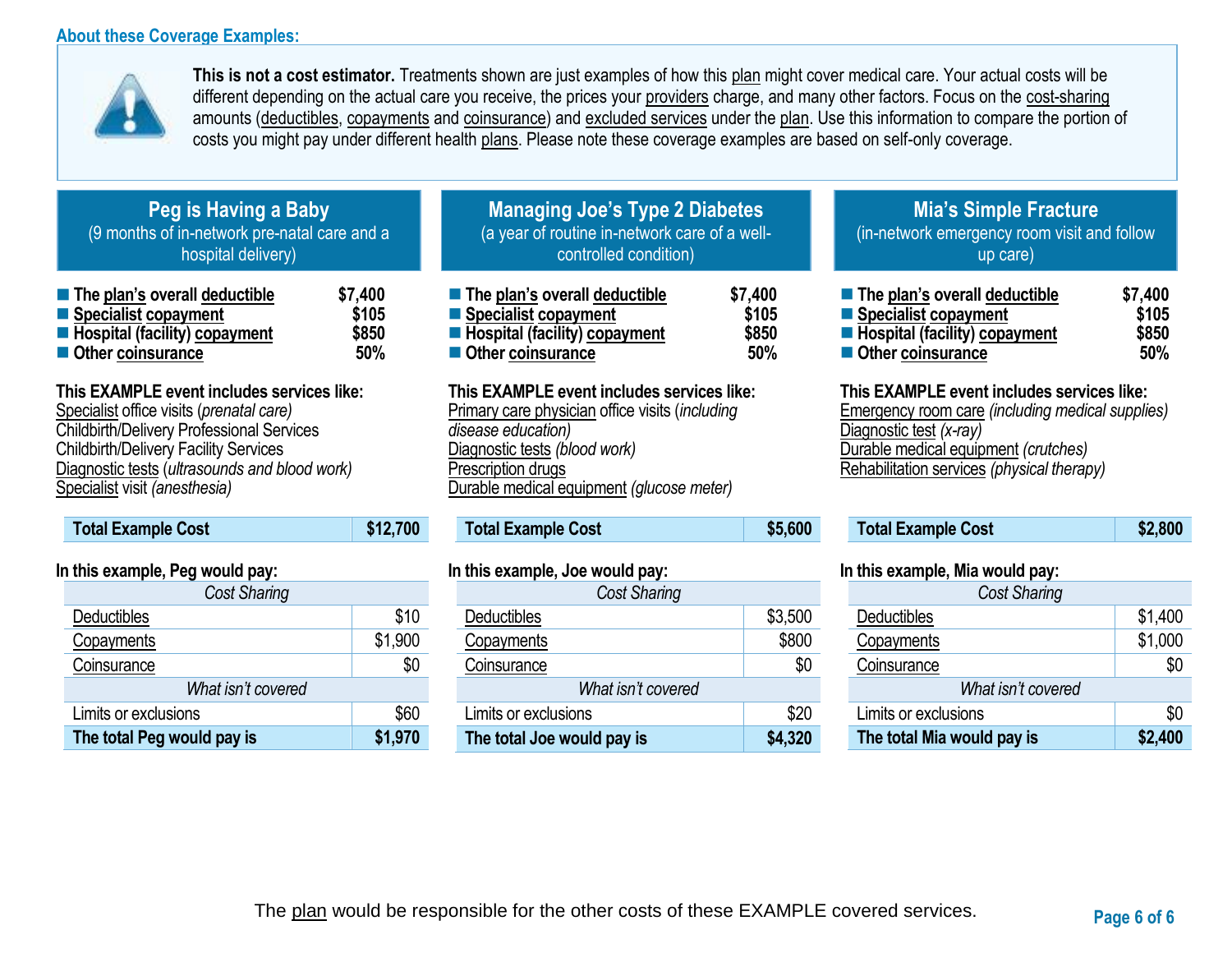## **About these Coverage Examples:**



**This is not a cost estimator.** Treatments shown are just examples of how this plan might cover medical care. Your actual costs will be different depending on the actual care you receive, the prices your providers charge, and many other factors. Focus on the cost-sharing amounts (deductibles, copayments and coinsurance) and excluded services under the plan. Use this information to compare the portion of costs you might pay under different health plans. Please note these coverage examples are based on self-only coverage.

## **Peg is Having a Baby** (9 months of in-network pre-natal care and a hospital delivery)

| $\blacksquare$ The plan's overall deductible | \$7,400 |
|----------------------------------------------|---------|
| ■ Specialist copayment                       | \$105   |
| <b>E</b> Hospital (facility) copayment       | \$850   |
| ■ Other coinsurance                          | 50%     |

# **This EXAMPLE event includes services like:**

Specialist office visits (*prenatal care)* Childbirth/Delivery Professional Services Childbirth/Delivery Facility Services Diagnostic tests (*ultrasounds and blood work)* Specialist visit *(anesthesia)* 

| <b>Total Example Cost</b> | \$12,700 |
|---------------------------|----------|
|                           |          |

## **In this example, Peg would pay:**

| <b>Cost Sharing</b>        |         |
|----------------------------|---------|
| Deductibles                | \$10    |
| Copayments                 | \$1,900 |
| Coinsurance                | \$0     |
| What isn't covered         |         |
| Limits or exclusions       | \$60    |
| The total Peg would pay is | \$1,970 |

# **Managing Joe's Type 2 Diabetes** (a year of routine in-network care of a wellcontrolled condition)

| ■ The plan's overall deductible        | \$7,400 |
|----------------------------------------|---------|
| ■ Specialist copayment                 | \$105   |
| <b>E</b> Hospital (facility) copayment | \$850   |
| Other coinsurance                      | 50%     |

## **This EXAMPLE event includes services like:**

Primary care physician office visits (*including disease education)* Diagnostic tests *(blood work)* Prescription drugs Durable medical equipment *(glucose meter)* 

# **Total Example Cost \$5,600**

### **In this example, Joe would pay:**

| <b>Cost Sharing</b>        |         |
|----------------------------|---------|
| Deductibles                | \$3,500 |
| Copayments                 | \$800   |
| Coinsurance                | \$0     |
| What isn't covered         |         |
| Limits or exclusions       | \$20    |
| The total Joe would pay is | \$4,320 |

## **Mia's Simple Fracture** (in-network emergency room visit and follow up care)

| ■ The plan's overall deductible | \$7,400 |
|---------------------------------|---------|
| ■ Specialist copayment          | \$105   |
| Hospital (facility) copayment   | \$850   |
| Other coinsurance               | 50%     |

### **This EXAMPLE event includes services like:**

Emergency room care *(including medical supplies)* Diagnostic test *(x-ray)* Durable medical equipment *(crutches)* Rehabilitation services *(physical therapy)*

| <b>Total Example Cost</b> | \$2,800 |
|---------------------------|---------|
|---------------------------|---------|

### **In this example, Mia would pay:**

| Cost Sharing               |         |  |
|----------------------------|---------|--|
| Deductibles                | \$1,400 |  |
| Copayments                 | \$1,000 |  |
| Coinsurance                | \$0     |  |
| What isn't covered         |         |  |
| Limits or exclusions       | \$0     |  |
| The total Mia would pay is | \$2,400 |  |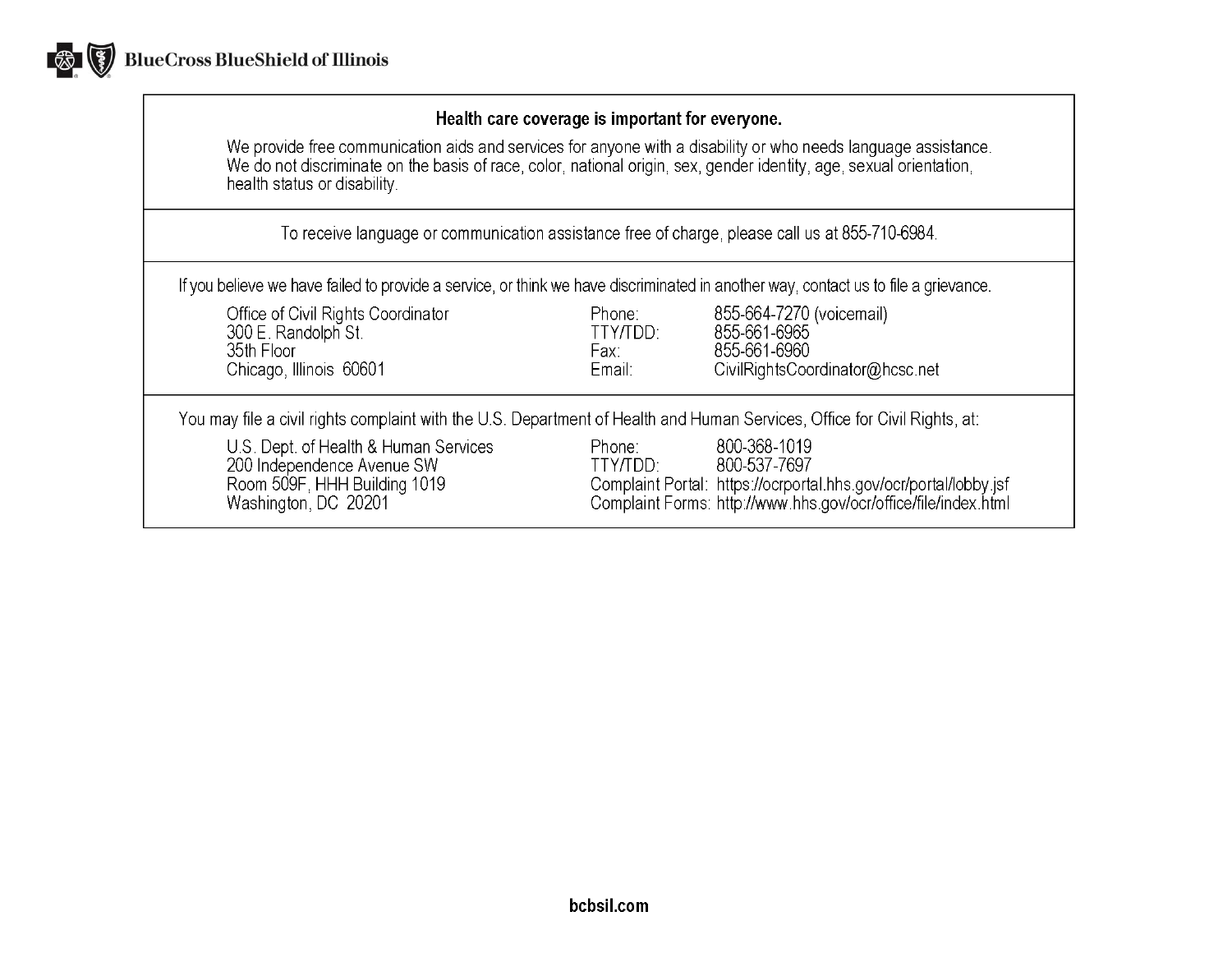

## Health care coverage is important for everyone.

We provide free communication aids and services for anyone with a disability or who needs language assistance.<br>We do not discriminate on the basis of race, color, national origin, sex, gender identity, age, sexual orientat health status or disability.

To receive language or communication assistance free of charge, please call us at 855-710-6984.

If you believe we have failed to provide a service, or think we have discriminated in another way, contact us to file a grievance.

| Office of Civil Rights Coordinator<br>300 E. Randolph St.<br>35th Floor<br>Chicago, Illinois 60601                          | Phone:<br>TTY/TDD:<br>Fax:<br>Email: | 855-664-7270 (voicemail)<br>855-661-6965<br>855-661-6960<br>CivilRightsCoordinator@hcsc.net                                                                        |
|-----------------------------------------------------------------------------------------------------------------------------|--------------------------------------|--------------------------------------------------------------------------------------------------------------------------------------------------------------------|
| You may file a civil rights complaint with the U.S. Department of Health and Human Services, Office for Civil Rights, at:   |                                      |                                                                                                                                                                    |
| U.S. Dept. of Health & Human Services<br>200 Independence Avenue SW<br>Room 509F, HHH Building 1019<br>Washington, DC 20201 | Phone:<br>TTY/TDD:                   | 800-368-1019<br>800-537-7697<br>Complaint Portal: https://ocrportal.hhs.gov/ocr/portal/lobby.jsf<br>Complaint Forms: http://www.hhs.gov/ocr/office/file/index.html |